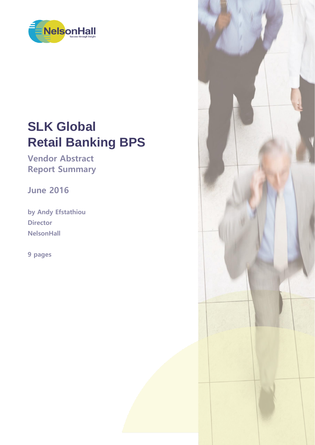

# **SLK Global Retail Banking BPS**

**Vendor Abstract Report Summary**

**June 2016**

**by Andy Efstathiou Director NelsonHall**

**9 pages**

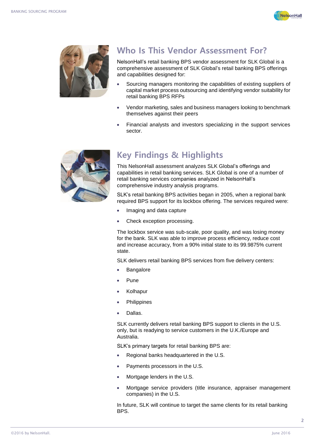



## **Who Is This Vendor Assessment For?**

NelsonHall's retail banking BPS vendor assessment for SLK Global is a comprehensive assessment of SLK Global's retail banking BPS offerings and capabilities designed for:

- Sourcing managers monitoring the capabilities of existing suppliers of capital market process outsourcing and identifying vendor suitability for retail banking BPS RFPs
- Vendor marketing, sales and business managers looking to benchmark themselves against their peers
- Financial analysts and investors specializing in the support services sector.



## **Key Findings & Highlights**

This NelsonHall assessment analyzes SLK Global's offerings and capabilities in retail banking services. SLK Global is one of a number of retail banking services companies analyzed in NelsonHall's comprehensive industry analysis programs.

SLK's retail banking BPS activities began in 2005, when a regional bank required BPS support for its lockbox offering. The services required were:

- Imaging and data capture
- Check exception processing.

The lockbox service was sub-scale, poor quality, and was losing money for the bank. SLK was able to improve process efficiency, reduce cost and increase accuracy, from a 90% initial state to its 99.9875% current state.

SLK delivers retail banking BPS services from five delivery centers:

- Bangalore
- Pune
- Kolhapur
- **Philippines**
- Dallas.

SLK currently delivers retail banking BPS support to clients in the U.S. only, but is readying to service customers in the U.K./Europe and Australia.

SLK's primary targets for retail banking BPS are:

- Regional banks headquartered in the U.S.
- Payments processors in the U.S.
- Mortgage lenders in the U.S.
- Mortgage service providers (title insurance, appraiser management companies) in the U.S.

In future, SLK will continue to target the same clients for its retail banking BPS.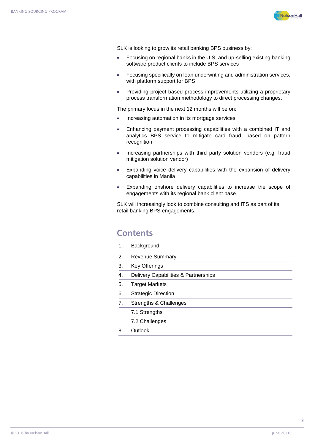

SLK is looking to grow its retail banking BPS business by:

- Focusing on regional banks in the U.S. and up-selling existing banking software product clients to include BPS services
- Focusing specifically on loan underwriting and administration services, with platform support for BPS
- Providing project based process improvements utilizing a proprietary process transformation methodology to direct processing changes.

The primary focus in the next 12 months will be on:

- Increasing automation in its mortgage services
- Enhancing payment processing capabilities with a combined IT and analytics BPS service to mitigate card fraud, based on pattern recognition
- Increasing partnerships with third party solution vendors (e.g. fraud mitigation solution vendor)
- Expanding voice delivery capabilities with the expansion of delivery capabilities in Manila
- Expanding onshore delivery capabilities to increase the scope of engagements with its regional bank client base.

SLK will increasingly look to combine consulting and ITS as part of its retail banking BPS engagements.

#### **Contents**

- 1. Background
- 2. Revenue Summary
- 3. Key Offerings
- 4. Delivery Capabilities & Partnerships
- 5. Target Markets
- 6. Strategic Direction
- 7. Strengths & Challenges
	- 7.1 Strengths
	- 7.2 Challenges
- 8. Outlook